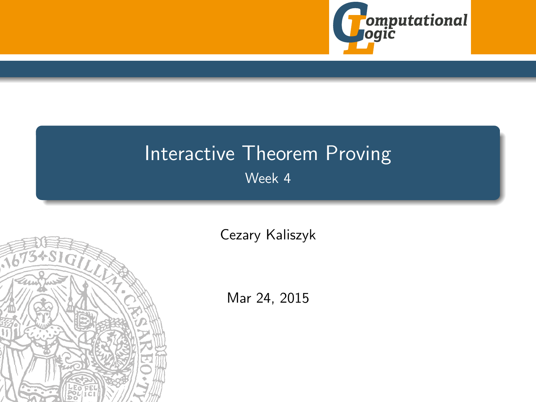

# <span id="page-0-0"></span>Interactive Theorem Proving Week 4



[Cezary Kaliszyk](http://cl-informatik.uibk.ac.at/~cek)

Mar 24, 2015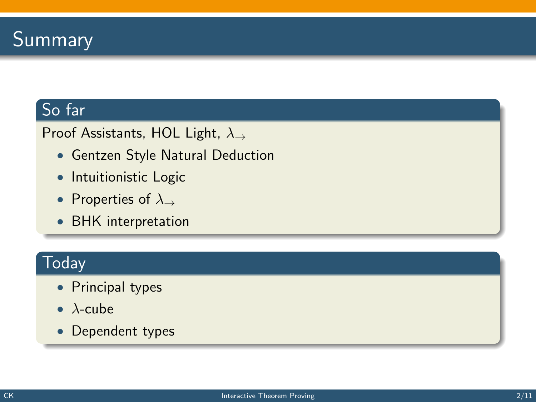# So far

### Proof Assistants, HOL Light, λ<sup>→</sup>

- Gentzen Style Natural Deduction
- Intuitionistic Logic
- Properties of  $\lambda_{\rightarrow}$
- BHK interpretation

## **Today**

- Principal types
- $\bullet\lambda$ -cube
- Dependent types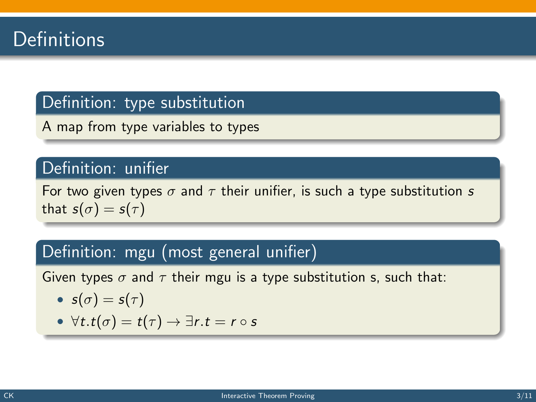### Definition: type substitution

A map from type variables to types

#### Definition: unifier

For two given types  $\sigma$  and  $\tau$  their unifier, is such a type substitution s that  $s(\sigma) = s(\tau)$ 

### Definition: mgu (most general unifier)

Given types  $\sigma$  and  $\tau$  their mgu is a type substitution s, such that:

• 
$$
s(\sigma) = s(\tau)
$$

• 
$$
\forall t \cdot t(\sigma) = t(\tau) \rightarrow \exists r \cdot t = r \circ s
$$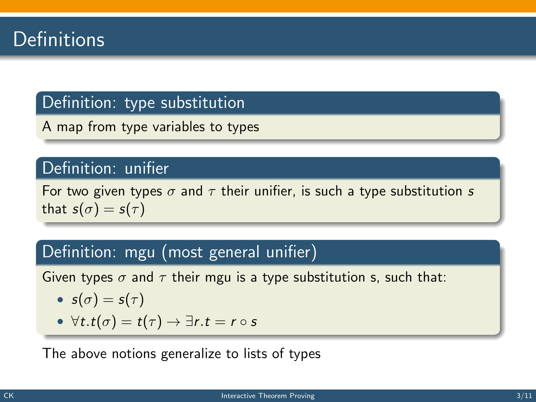### Definition: type substitution

A map from type variables to types

### Definition: unifier

For two given types  $\sigma$  and  $\tau$  their unifier, is such a type substitution s that  $s(\sigma) = s(\tau)$ 

### Definition: mgu (most general unifier)

Given types  $\sigma$  and  $\tau$  their mgu is a type substitution s, such that:

• 
$$
s(\sigma) = s(\tau)
$$

• 
$$
\forall t \cdot t(\sigma) = t(\tau) \rightarrow \exists r \cdot t = r \circ s
$$

The above notions generalize to lists of types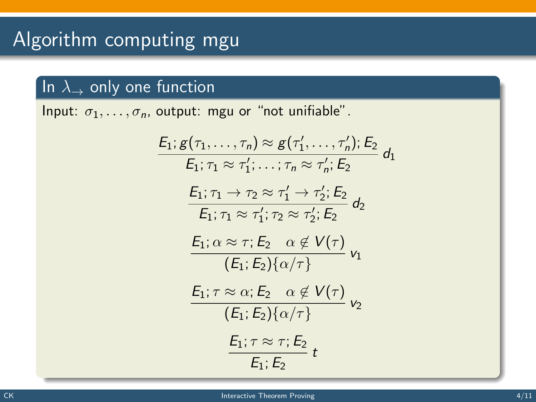# In  $\lambda_{\rightarrow}$  only one function

Input:  $\sigma_1, \ldots, \sigma_n$ , output: mgu or "not unifiable".

$$
E_1; g(\tau_1, \ldots, \tau_n) \approx g(\tau'_1, \ldots, \tau'_n); E_2
$$
\n
$$
E_1; \tau_1 \approx \tau'_1; \ldots; \tau_n \approx \tau'_n; E_2
$$
\n
$$
\frac{E_1; \tau_1 \rightarrow \tau_2 \approx \tau'_1 \rightarrow \tau'_2; E_2}{E_1; \tau_1 \approx \tau'_1; \tau_2 \approx \tau'_2; E_2}
$$
\n
$$
\frac{E_1; \alpha \approx \tau; E_2 \quad \alpha \notin V(\tau)}{(E_1; E_2) \{\alpha/\tau\}}
$$
\n
$$
\frac{E_1; \tau \approx \alpha; E_2 \quad \alpha \notin V(\tau)}{(E_1; E_2) \{\alpha/\tau\}}
$$
\n
$$
\frac{E_1; \tau \approx \tau; E_2}{E_1; E_2}
$$
\n
$$
E_1; \tau \approx \tau; E_2
$$
\n
$$
E_1; E_2
$$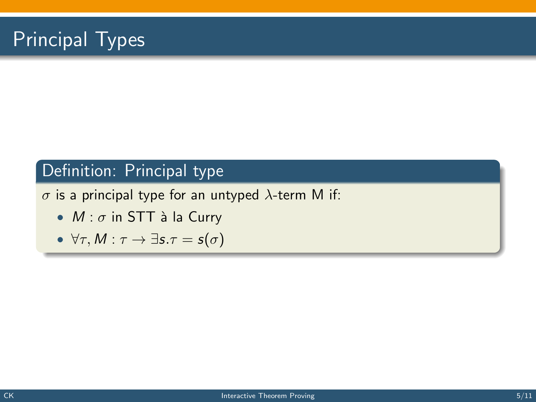# Principal Types

### Definition: Principal type

 $\sigma$  is a principal type for an untyped  $\lambda$ -term M if:

- $M : \sigma$  in STT à la Curry
- $\forall \tau, M : \tau \to \exists s.\tau = s(\sigma)$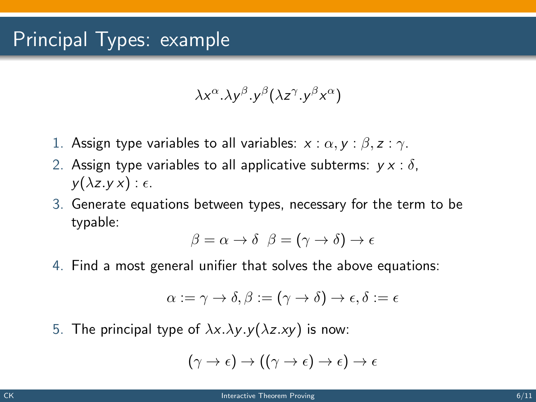$$
\lambda x^{\alpha}. \lambda y^{\beta}. y^{\beta} (\lambda z^{\gamma}. y^{\beta} x^{\alpha})
$$

- 1. Assign type variables to all variables:  $x : \alpha, y : \beta, z : \gamma$ .
- 2. Assign type variables to all applicative subterms:  $v \times : \delta$ .  $y(\lambda z.yx): \epsilon.$
- 3. Generate equations between types, necessary for the term to be typable:

$$
\beta = \alpha \to \delta \ \ \beta = (\gamma \to \delta) \to \epsilon
$$

4. Find a most general unifier that solves the above equations:

$$
\alpha:=\gamma\rightarrow\delta,\beta:=(\gamma\rightarrow\delta)\rightarrow\epsilon,\delta:=\epsilon
$$

5. The principal type of  $\lambda x.\lambda y.y(\lambda z.xy)$  is now:

$$
(\gamma \to \epsilon) \to ((\gamma \to \epsilon) \to \epsilon) \to \epsilon
$$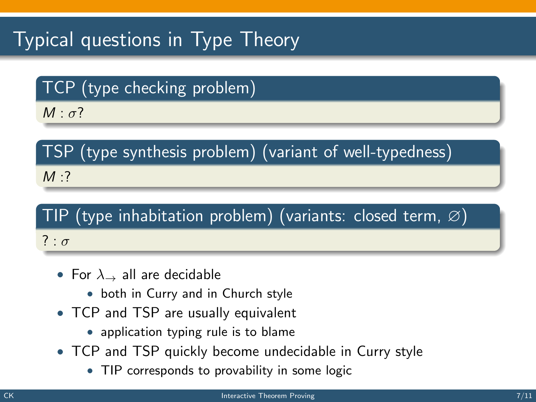# Typical questions in Type Theory

TCP (type checking problem)

 $M \cdot \sigma$ ?

TSP (type synthesis problem) (variant of well-typedness)  $M:$ ?

# TIP (type inhabitation problem) (variants: closed term,  $\varnothing$ ) ? :  $\sigma$

- For  $\lambda_{-}$  all are decidable
	- both in Curry and in Church style
- TCP and TSP are usually equivalent
	- application typing rule is to blame
- TCP and TSP quickly become undecidable in Curry style
	- TIP corresponds to provability in some logic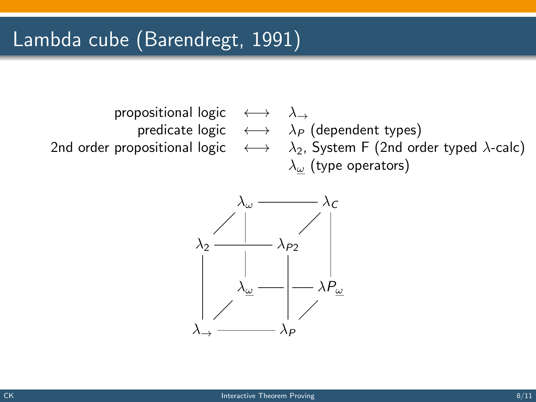

predicate logic  $\longleftrightarrow \lambda_P$  (dependent types) 2nd order propositional logic  $\longleftrightarrow \lambda_2$ , System F (2nd order typed  $\lambda$ -calc)  $\lambda_{\omega}$  (type operators)

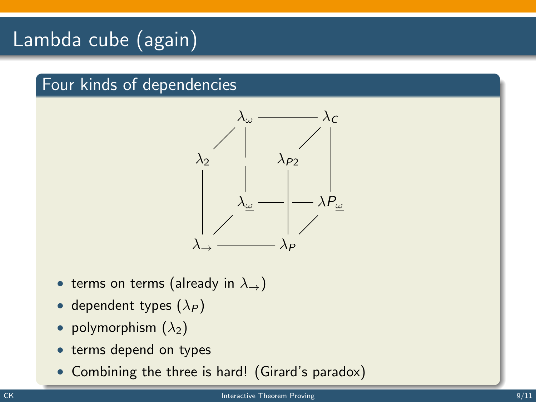# Lambda cube (again)

## Four kinds of dependencies



- terms on terms (already in  $\lambda_{\rightarrow}$ )
- dependent types  $(\lambda_P)$
- polymorphism  $(\lambda_2)$
- terms depend on types
- Combining the three is hard! (Girard's paradox)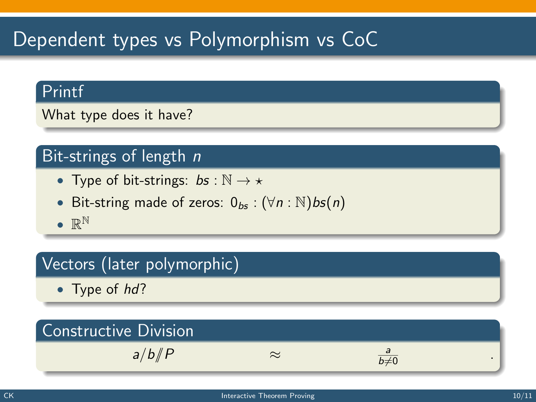# Dependent types vs Polymorphism vs CoC

### Printf

What type does it have?

# Bit-strings of length  $n$

- Type of bit-strings:  $bs : \mathbb{N} \to \star$
- Bit-string made of zeros:  $0_{bs}$  :  $(\forall n : \mathbb{N})$ bs $(n)$
- $\bullet \mathbb{R}^{\mathbb{N}}$

# Vectors (later polymorphic)

• Type of hd?

### Constructive Division  $a/b/\!\!/P$  ≈  $\frac{a}{b\neq 0}$  .